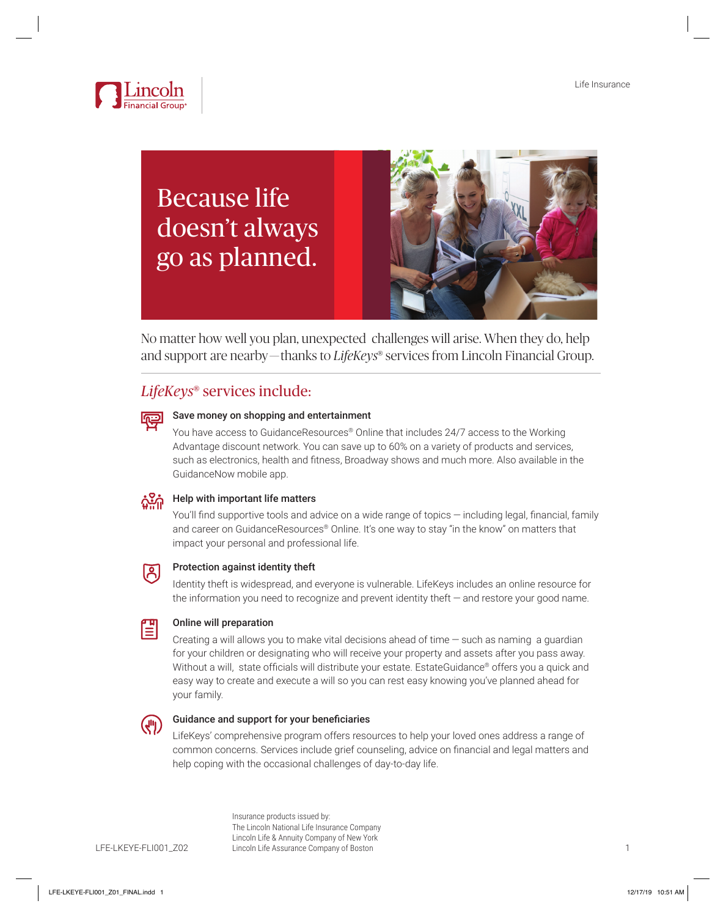

# Because life doesn't always go as planned.



No matter how well you plan, unexpected challenges will arise. When they do, help and support are nearby — thanks to *LifeKeys*® services from Lincoln Financial Group.

## *LifeKeys*® services include:

### Save money on shopping and entertainment

You have access to GuidanceResources® Online that includes 24/7 access to the Working Advantage discount network. You can save up to 60% on a variety of products and services, such as electronics, health and fitness, Broadway shows and much more. Also available in the GuidanceNow mobile app.

# Help with important life matters

You'll find supportive tools and advice on a wide range of topics  $-$  including legal, financial, family and career on GuidanceResources® Online. It's one way to stay "in the know" on matters that impact your personal and professional life.



### Protection against identity theft

Identity theft is widespread, and everyone is vulnerable. LifeKeys includes an online resource for the information you need to recognize and prevent identity theft — and restore your good name.



### Online will preparation

Creating a will allows you to make vital decisions ahead of time  $-$  such as naming a guardian for your children or designating who will receive your property and assets after you pass away. Without a will, state officials will distribute your estate. EstateGuidance® offers you a quick and easy way to create and execute a will so you can rest easy knowing you've planned ahead for your family.



### Guidance and support for your beneficiaries

LifeKeys' comprehensive program offers resources to help your loved ones address a range of common concerns. Services include grief counseling, advice on financial and legal matters and help coping with the occasional challenges of day-to-day life.